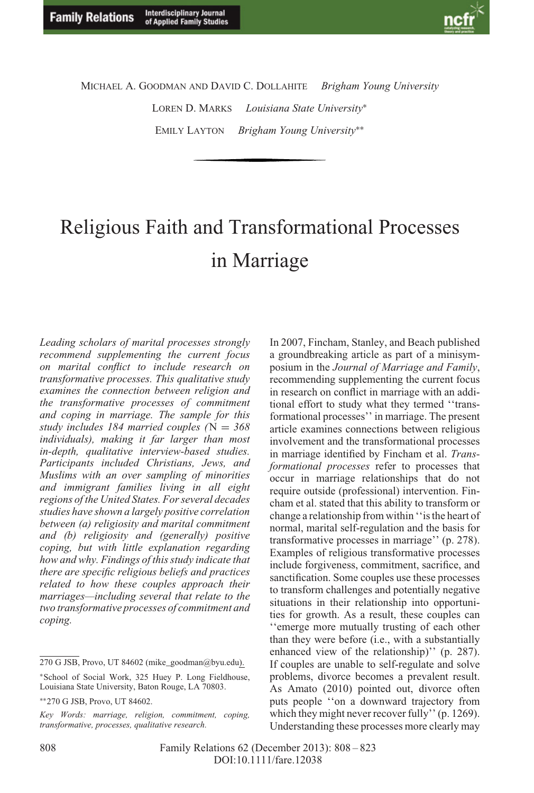

MICHAEL A. GOODMAN AND DAVID C. DOLLAHITE *Brigham Young University* LOREN D. MARKS *Louisiana State University*∗ EMILY LAYTON *Brigham Young University*∗∗

# Religious Faith and Transformational Processes in Marriage

*Leading scholars of marital processes strongly recommend supplementing the current focus on marital conflict to include research on transformative processes. This qualitative study examines the connection between religion and the transformative processes of commitment and coping in marriage. The sample for this study includes 184 married couples (*N = *368 individuals), making it far larger than most in-depth, qualitative interview-based studies. Participants included Christians, Jews, and Muslims with an over sampling of minorities and immigrant families living in all eight regions of the United States. For several decades studies have shown a largely positive correlation between (a) religiosity and marital commitment and (b) religiosity and (generally) positive coping, but with little explanation regarding how and why. Findings of this study indicate that there are specific religious beliefs and practices related to how these couples approach their marriages—including several that relate to the two transformative processes of commitment and coping.*

In 2007, Fincham, Stanley, and Beach published a groundbreaking article as part of a minisymposium in the *Journal of Marriage and Family*, recommending supplementing the current focus in research on conflict in marriage with an additional effort to study what they termed ''transformational processes'' in marriage. The present article examines connections between religious involvement and the transformational processes in marriage identified by Fincham et al. *Transformational processes* refer to processes that occur in marriage relationships that do not require outside (professional) intervention. Fincham et al. stated that this ability to transform or change a relationship from within ''is the heart of normal, marital self-regulation and the basis for transformative processes in marriage'' (p. 278). Examples of religious transformative processes include forgiveness, commitment, sacrifice, and sanctification. Some couples use these processes to transform challenges and potentially negative situations in their relationship into opportunities for growth. As a result, these couples can ''emerge more mutually trusting of each other than they were before (i.e., with a substantially enhanced view of the relationship)'' (p. 287). If couples are unable to self-regulate and solve problems, divorce becomes a prevalent result. As Amato (2010) pointed out, divorce often puts people ''on a downward trajectory from which they might never recover fully'' (p. 1269). Understanding these processes more clearly may

<sup>270</sup> G JSB, Provo, UT 84602 (mike\_goodman@byu.edu).

<sup>∗</sup>School of Social Work, 325 Huey P. Long Fieldhouse, Louisiana State University, Baton Rouge, LA 70803.

<sup>∗∗</sup>270 G JSB, Provo, UT 84602.

*Key Words: marriage, religion, commitment, coping, transformative, processes, qualitative research.*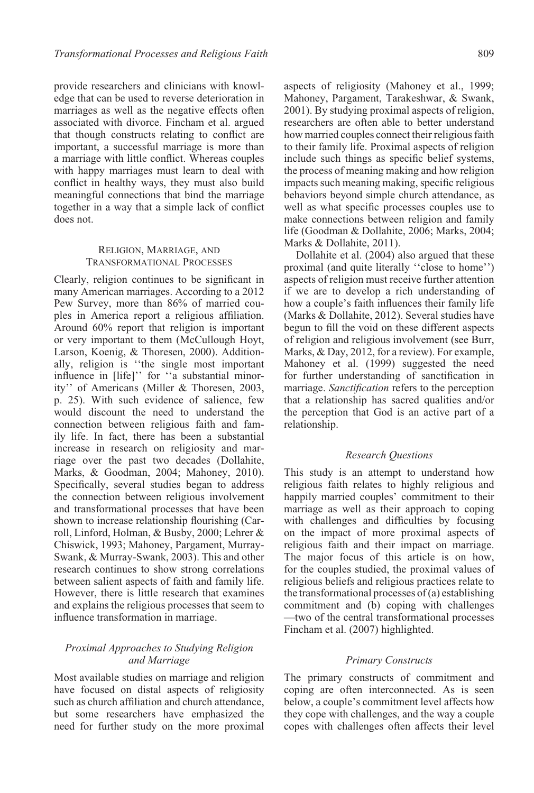provide researchers and clinicians with knowledge that can be used to reverse deterioration in marriages as well as the negative effects often associated with divorce. Fincham et al. argued that though constructs relating to conflict are important, a successful marriage is more than a marriage with little conflict. Whereas couples with happy marriages must learn to deal with conflict in healthy ways, they must also build meaningful connections that bind the marriage together in a way that a simple lack of conflict does not.

## RELIGION, MARRIAGE, AND TRANSFORMATIONAL PROCESSES

Clearly, religion continues to be significant in many American marriages. According to a 2012 Pew Survey, more than 86% of married couples in America report a religious affiliation. Around 60% report that religion is important or very important to them (McCullough Hoyt, Larson, Koenig, & Thoresen, 2000). Additionally, religion is ''the single most important influence in [life]'' for ''a substantial minority'' of Americans (Miller & Thoresen, 2003, p. 25). With such evidence of salience, few would discount the need to understand the connection between religious faith and family life. In fact, there has been a substantial increase in research on religiosity and marriage over the past two decades (Dollahite, Marks, & Goodman, 2004; Mahoney, 2010). Specifically, several studies began to address the connection between religious involvement and transformational processes that have been shown to increase relationship flourishing (Carroll, Linford, Holman, & Busby, 2000; Lehrer & Chiswick, 1993; Mahoney, Pargament, Murray-Swank, & Murray-Swank, 2003). This and other research continues to show strong correlations between salient aspects of faith and family life. However, there is little research that examines and explains the religious processes that seem to influence transformation in marriage.

## *Proximal Approaches to Studying Religion and Marriage*

Most available studies on marriage and religion have focused on distal aspects of religiosity such as church affiliation and church attendance, but some researchers have emphasized the need for further study on the more proximal

aspects of religiosity (Mahoney et al., 1999; Mahoney, Pargament, Tarakeshwar, & Swank, 2001). By studying proximal aspects of religion, researchers are often able to better understand how married couples connect their religious faith to their family life. Proximal aspects of religion include such things as specific belief systems, the process of meaning making and how religion impacts such meaning making, specific religious behaviors beyond simple church attendance, as well as what specific processes couples use to make connections between religion and family life (Goodman & Dollahite, 2006; Marks, 2004; Marks & Dollahite, 2011).

Dollahite et al. (2004) also argued that these proximal (and quite literally ''close to home'') aspects of religion must receive further attention if we are to develop a rich understanding of how a couple's faith influences their family life (Marks & Dollahite, 2012). Several studies have begun to fill the void on these different aspects of religion and religious involvement (see Burr, Marks, & Day, 2012, for a review). For example, Mahoney et al. (1999) suggested the need for further understanding of sanctification in marriage. *Sanctification* refers to the perception that a relationship has sacred qualities and/or the perception that God is an active part of a relationship.

## *Research Questions*

This study is an attempt to understand how religious faith relates to highly religious and happily married couples' commitment to their marriage as well as their approach to coping with challenges and difficulties by focusing on the impact of more proximal aspects of religious faith and their impact on marriage. The major focus of this article is on how, for the couples studied, the proximal values of religious beliefs and religious practices relate to the transformational processes of (a) establishing commitment and (b) coping with challenges —two of the central transformational processes Fincham et al. (2007) highlighted.

## *Primary Constructs*

The primary constructs of commitment and coping are often interconnected. As is seen below, a couple's commitment level affects how they cope with challenges, and the way a couple copes with challenges often affects their level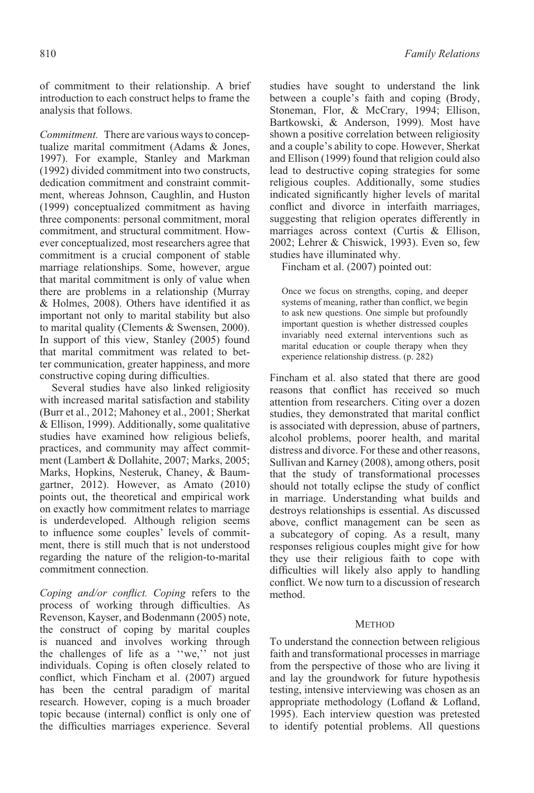of commitment to their relationship. A brief introduction to each construct helps to frame the analysis that follows.

*Commitment.* There are various ways to conceptualize marital commitment (Adams & Jones, 1997). For example, Stanley and Markman (1992) divided commitment into two constructs, dedication commitment and constraint commitment, whereas Johnson, Caughlin, and Huston (1999) conceptualized commitment as having three components: personal commitment, moral commitment, and structural commitment. However conceptualized, most researchers agree that commitment is a crucial component of stable marriage relationships. Some, however, argue that marital commitment is only of value when there are problems in a relationship (Murray & Holmes, 2008). Others have identified it as important not only to marital stability but also to marital quality (Clements & Swensen, 2000). In support of this view, Stanley (2005) found that marital commitment was related to better communication, greater happiness, and more constructive coping during difficulties.

Several studies have also linked religiosity with increased marital satisfaction and stability (Burr et al., 2012; Mahoney et al., 2001; Sherkat & Ellison, 1999). Additionally, some qualitative studies have examined how religious beliefs, practices, and community may affect commitment (Lambert & Dollahite, 2007; Marks, 2005; Marks, Hopkins, Nesteruk, Chaney, & Baumgartner, 2012). However, as Amato (2010) points out, the theoretical and empirical work on exactly how commitment relates to marriage is underdeveloped. Although religion seems to influence some couples' levels of commitment, there is still much that is not understood regarding the nature of the religion-to-marital commitment connection.

*Coping and/or conflict. Coping* refers to the process of working through difficulties. As Revenson, Kayser, and Bodenmann (2005) note, the construct of coping by marital couples is nuanced and involves working through the challenges of life as a ''we,'' not just individuals. Coping is often closely related to conflict, which Fincham et al. (2007) argued has been the central paradigm of marital research. However, coping is a much broader topic because (internal) conflict is only one of the difficulties marriages experience. Several

studies have sought to understand the link between a couple's faith and coping (Brody, Stoneman, Flor, & McCrary, 1994; Ellison, Bartkowski, & Anderson, 1999). Most have shown a positive correlation between religiosity and a couple's ability to cope. However, Sherkat and Ellison (1999) found that religion could also lead to destructive coping strategies for some religious couples. Additionally, some studies indicated significantly higher levels of marital conflict and divorce in interfaith marriages, suggesting that religion operates differently in marriages across context (Curtis & Ellison, 2002; Lehrer & Chiswick, 1993). Even so, few studies have illuminated why.

Fincham et al. (2007) pointed out:

Once we focus on strengths, coping, and deeper systems of meaning, rather than conflict, we begin to ask new questions. One simple but profoundly important question is whether distressed couples invariably need external interventions such as marital education or couple therapy when they experience relationship distress. (p. 282)

Fincham et al. also stated that there are good reasons that conflict has received so much attention from researchers. Citing over a dozen studies, they demonstrated that marital conflict is associated with depression, abuse of partners, alcohol problems, poorer health, and marital distress and divorce. For these and other reasons, Sullivan and Karney (2008), among others, posit that the study of transformational processes should not totally eclipse the study of conflict in marriage. Understanding what builds and destroys relationships is essential. As discussed above, conflict management can be seen as a subcategory of coping. As a result, many responses religious couples might give for how they use their religious faith to cope with difficulties will likely also apply to handling conflict. We now turn to a discussion of research method.

# **METHOD**

To understand the connection between religious faith and transformational processes in marriage from the perspective of those who are living it and lay the groundwork for future hypothesis testing, intensive interviewing was chosen as an appropriate methodology (Lofland & Lofland, 1995). Each interview question was pretested to identify potential problems. All questions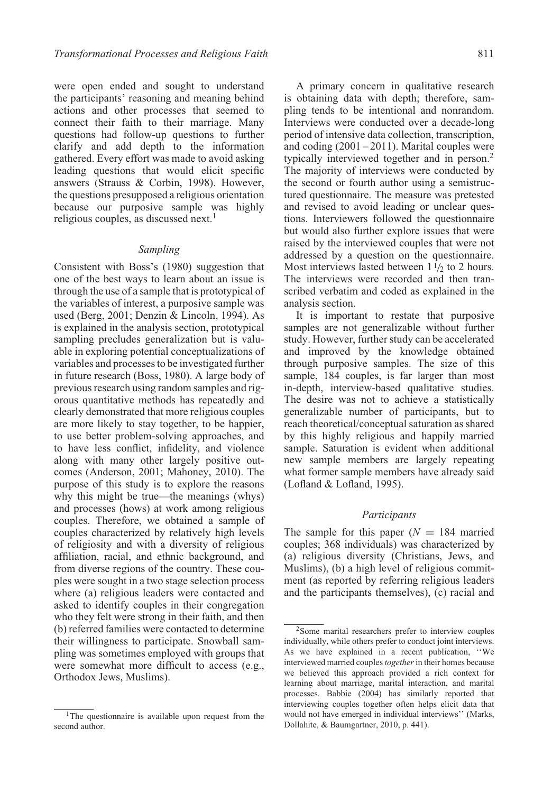were open ended and sought to understand the participants' reasoning and meaning behind actions and other processes that seemed to connect their faith to their marriage. Many questions had follow-up questions to further clarify and add depth to the information gathered. Every effort was made to avoid asking leading questions that would elicit specific answers (Strauss & Corbin, 1998). However, the questions presupposed a religious orientation because our purposive sample was highly religious couples, as discussed next. $<sup>1</sup>$ </sup>

## *Sampling*

Consistent with Boss's (1980) suggestion that one of the best ways to learn about an issue is through the use of a sample that is prototypical of the variables of interest, a purposive sample was used (Berg, 2001; Denzin & Lincoln, 1994). As is explained in the analysis section, prototypical sampling precludes generalization but is valuable in exploring potential conceptualizations of variables and processes to be investigated further in future research (Boss, 1980). A large body of previous research using random samples and rigorous quantitative methods has repeatedly and clearly demonstrated that more religious couples are more likely to stay together, to be happier, to use better problem-solving approaches, and to have less conflict, infidelity, and violence along with many other largely positive outcomes (Anderson, 2001; Mahoney, 2010). The purpose of this study is to explore the reasons why this might be true—the meanings (whys) and processes (hows) at work among religious couples. Therefore, we obtained a sample of couples characterized by relatively high levels of religiosity and with a diversity of religious affiliation, racial, and ethnic background, and from diverse regions of the country. These couples were sought in a two stage selection process where (a) religious leaders were contacted and asked to identify couples in their congregation who they felt were strong in their faith, and then (b) referred families were contacted to determine their willingness to participate. Snowball sampling was sometimes employed with groups that were somewhat more difficult to access (e.g., Orthodox Jews, Muslims).

A primary concern in qualitative research is obtaining data with depth; therefore, sampling tends to be intentional and nonrandom. Interviews were conducted over a decade-long period of intensive data collection, transcription, and coding  $(2001 - 2011)$ . Marital couples were typically interviewed together and in person.<sup>2</sup> The majority of interviews were conducted by the second or fourth author using a semistructured questionnaire. The measure was pretested and revised to avoid leading or unclear questions. Interviewers followed the questionnaire but would also further explore issues that were raised by the interviewed couples that were not addressed by a question on the questionnaire. Most interviews lasted between  $1\frac{1}{2}$  to 2 hours. The interviews were recorded and then transcribed verbatim and coded as explained in the analysis section.

It is important to restate that purposive samples are not generalizable without further study. However, further study can be accelerated and improved by the knowledge obtained through purposive samples. The size of this sample, 184 couples, is far larger than most in-depth, interview-based qualitative studies. The desire was not to achieve a statistically generalizable number of participants, but to reach theoretical/conceptual saturation as shared by this highly religious and happily married sample. Saturation is evident when additional new sample members are largely repeating what former sample members have already said (Lofland & Lofland, 1995).

## *Participants*

The sample for this paper  $(N = 184$  married couples; 368 individuals) was characterized by (a) religious diversity (Christians, Jews, and Muslims), (b) a high level of religious commitment (as reported by referring religious leaders and the participants themselves), (c) racial and

<sup>&</sup>lt;sup>1</sup>The questionnaire is available upon request from the second author.

<sup>2</sup>Some marital researchers prefer to interview couples individually, while others prefer to conduct joint interviews. As we have explained in a recent publication, ''We interviewed married couples*together* in their homes because we believed this approach provided a rich context for learning about marriage, marital interaction, and marital processes. Babbie (2004) has similarly reported that interviewing couples together often helps elicit data that would not have emerged in individual interviews'' (Marks, Dollahite, & Baumgartner, 2010, p. 441).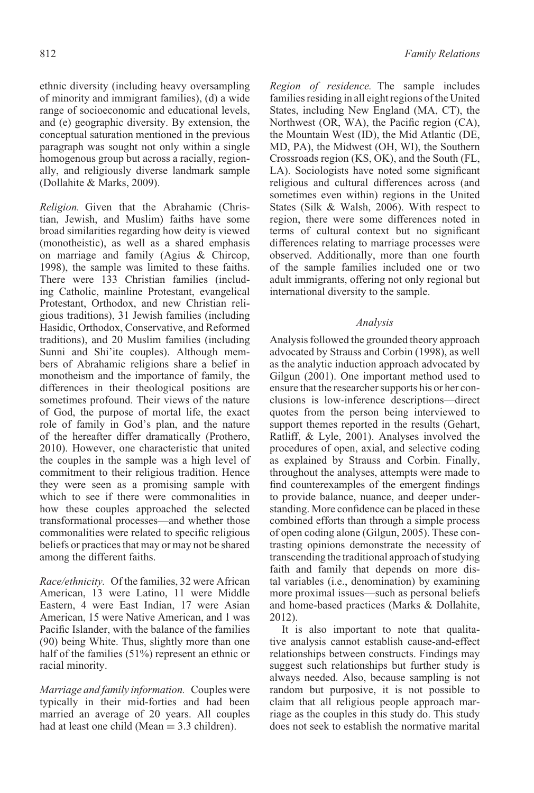ethnic diversity (including heavy oversampling of minority and immigrant families), (d) a wide range of socioeconomic and educational levels, and (e) geographic diversity. By extension, the conceptual saturation mentioned in the previous paragraph was sought not only within a single homogenous group but across a racially, regionally, and religiously diverse landmark sample (Dollahite & Marks, 2009).

*Religion.* Given that the Abrahamic (Christian, Jewish, and Muslim) faiths have some broad similarities regarding how deity is viewed (monotheistic), as well as a shared emphasis on marriage and family (Agius & Chircop, 1998), the sample was limited to these faiths. There were 133 Christian families (including Catholic, mainline Protestant, evangelical Protestant, Orthodox, and new Christian religious traditions), 31 Jewish families (including Hasidic, Orthodox, Conservative, and Reformed traditions), and 20 Muslim families (including Sunni and Shi'ite couples). Although members of Abrahamic religions share a belief in monotheism and the importance of family, the differences in their theological positions are sometimes profound. Their views of the nature of God, the purpose of mortal life, the exact role of family in God's plan, and the nature of the hereafter differ dramatically (Prothero, 2010). However, one characteristic that united the couples in the sample was a high level of commitment to their religious tradition. Hence they were seen as a promising sample with which to see if there were commonalities in how these couples approached the selected transformational processes—and whether those commonalities were related to specific religious beliefs or practices that may or may not be shared among the different faiths.

*Race/ethnicity.* Of the families, 32 were African American, 13 were Latino, 11 were Middle Eastern, 4 were East Indian, 17 were Asian American, 15 were Native American, and 1 was Pacific Islander, with the balance of the families (90) being White. Thus, slightly more than one half of the families (51%) represent an ethnic or racial minority.

*Marriage and family information.* Couples were typically in their mid-forties and had been married an average of 20 years. All couples had at least one child (Mean  $=$  3.3 children).

*Region of residence.* The sample includes families residing in all eight regions of the United States, including New England (MA, CT), the Northwest (OR, WA), the Pacific region (CA), the Mountain West (ID), the Mid Atlantic (DE, MD, PA), the Midwest (OH, WI), the Southern Crossroads region (KS, OK), and the South (FL, LA). Sociologists have noted some significant religious and cultural differences across (and sometimes even within) regions in the United States (Silk & Walsh, 2006). With respect to region, there were some differences noted in terms of cultural context but no significant differences relating to marriage processes were observed. Additionally, more than one fourth of the sample families included one or two adult immigrants, offering not only regional but international diversity to the sample.

## *Analysis*

Analysis followed the grounded theory approach advocated by Strauss and Corbin (1998), as well as the analytic induction approach advocated by Gilgun (2001). One important method used to ensure that the researcher supports his or her conclusions is low-inference descriptions—direct quotes from the person being interviewed to support themes reported in the results (Gehart, Ratliff, & Lyle, 2001). Analyses involved the procedures of open, axial, and selective coding as explained by Strauss and Corbin. Finally, throughout the analyses, attempts were made to find counterexamples of the emergent findings to provide balance, nuance, and deeper understanding. More confidence can be placed in these combined efforts than through a simple process of open coding alone (Gilgun, 2005). These contrasting opinions demonstrate the necessity of transcending the traditional approach of studying faith and family that depends on more distal variables (i.e., denomination) by examining more proximal issues—such as personal beliefs and home-based practices (Marks & Dollahite, 2012).

It is also important to note that qualitative analysis cannot establish cause-and-effect relationships between constructs. Findings may suggest such relationships but further study is always needed. Also, because sampling is not random but purposive, it is not possible to claim that all religious people approach marriage as the couples in this study do. This study does not seek to establish the normative marital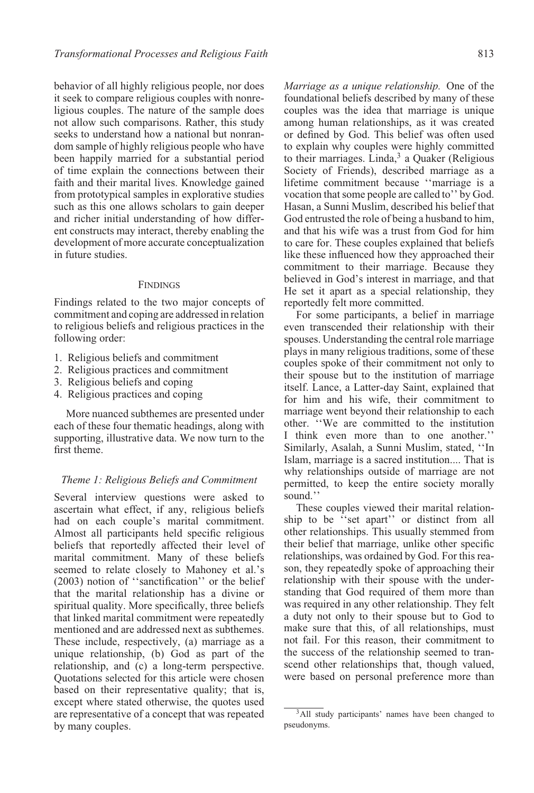behavior of all highly religious people, nor does it seek to compare religious couples with nonreligious couples. The nature of the sample does not allow such comparisons. Rather, this study seeks to understand how a national but nonrandom sample of highly religious people who have been happily married for a substantial period of time explain the connections between their faith and their marital lives. Knowledge gained from prototypical samples in explorative studies such as this one allows scholars to gain deeper and richer initial understanding of how different constructs may interact, thereby enabling the development of more accurate conceptualization in future studies.

#### FINDINGS

Findings related to the two major concepts of commitment and coping are addressed in relation to religious beliefs and religious practices in the following order:

- 1. Religious beliefs and commitment
- 2. Religious practices and commitment
- 3. Religious beliefs and coping
- 4. Religious practices and coping

More nuanced subthemes are presented under each of these four thematic headings, along with supporting, illustrative data. We now turn to the first theme.

## *Theme 1: Religious Beliefs and Commitment*

Several interview questions were asked to ascertain what effect, if any, religious beliefs had on each couple's marital commitment. Almost all participants held specific religious beliefs that reportedly affected their level of marital commitment. Many of these beliefs seemed to relate closely to Mahoney et al.'s (2003) notion of ''sanctification'' or the belief that the marital relationship has a divine or spiritual quality. More specifically, three beliefs that linked marital commitment were repeatedly mentioned and are addressed next as subthemes. These include, respectively, (a) marriage as a unique relationship, (b) God as part of the relationship, and (c) a long-term perspective. Quotations selected for this article were chosen based on their representative quality; that is, except where stated otherwise, the quotes used are representative of a concept that was repeated by many couples.

*Marriage as a unique relationship.* One of the foundational beliefs described by many of these couples was the idea that marriage is unique among human relationships, as it was created or defined by God. This belief was often used to explain why couples were highly committed to their marriages. Linda,<sup>3</sup> a Quaker (Religious Society of Friends), described marriage as a lifetime commitment because ''marriage is a vocation that some people are called to'' by God. Hasan, a Sunni Muslim, described his belief that God entrusted the role of being a husband to him, and that his wife was a trust from God for him to care for. These couples explained that beliefs like these influenced how they approached their commitment to their marriage. Because they believed in God's interest in marriage, and that He set it apart as a special relationship, they reportedly felt more committed.

For some participants, a belief in marriage even transcended their relationship with their spouses. Understanding the central role marriage plays in many religious traditions, some of these couples spoke of their commitment not only to their spouse but to the institution of marriage itself. Lance, a Latter-day Saint, explained that for him and his wife, their commitment to marriage went beyond their relationship to each other. ''We are committed to the institution I think even more than to one another.'' Similarly, Asalah, a Sunni Muslim, stated, ''In Islam, marriage is a sacred institution.... That is why relationships outside of marriage are not permitted, to keep the entire society morally sound.''

These couples viewed their marital relationship to be ''set apart'' or distinct from all other relationships. This usually stemmed from their belief that marriage, unlike other specific relationships, was ordained by God. For this reason, they repeatedly spoke of approaching their relationship with their spouse with the understanding that God required of them more than was required in any other relationship. They felt a duty not only to their spouse but to God to make sure that this, of all relationships, must not fail. For this reason, their commitment to the success of the relationship seemed to transcend other relationships that, though valued, were based on personal preference more than

<sup>&</sup>lt;sup>3</sup>All study participants' names have been changed to pseudonyms.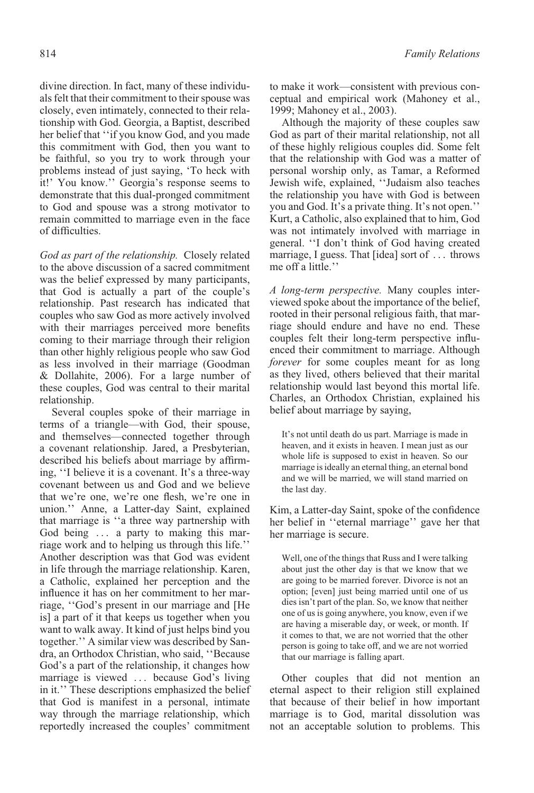divine direction. In fact, many of these individuals felt that their commitment to their spouse was closely, even intimately, connected to their relationship with God. Georgia, a Baptist, described her belief that ''if you know God, and you made this commitment with God, then you want to be faithful, so you try to work through your problems instead of just saying, 'To heck with it!' You know.'' Georgia's response seems to demonstrate that this dual-pronged commitment to God and spouse was a strong motivator to remain committed to marriage even in the face of difficulties.

*God as part of the relationship.* Closely related to the above discussion of a sacred commitment was the belief expressed by many participants, that God is actually a part of the couple's relationship. Past research has indicated that couples who saw God as more actively involved with their marriages perceived more benefits coming to their marriage through their religion than other highly religious people who saw God as less involved in their marriage (Goodman & Dollahite, 2006). For a large number of these couples, God was central to their marital relationship.

Several couples spoke of their marriage in terms of a triangle—with God, their spouse, and themselves—connected together through a covenant relationship. Jared, a Presbyterian, described his beliefs about marriage by affirming, ''I believe it is a covenant. It's a three-way covenant between us and God and we believe that we're one, we're one flesh, we're one in union.'' Anne, a Latter-day Saint, explained that marriage is ''a three way partnership with God being *...* a party to making this marriage work and to helping us through this life.'' Another description was that God was evident in life through the marriage relationship. Karen, a Catholic, explained her perception and the influence it has on her commitment to her marriage, ''God's present in our marriage and [He is] a part of it that keeps us together when you want to walk away. It kind of just helps bind you together.'' A similar view was described by Sandra, an Orthodox Christian, who said, ''Because God's a part of the relationship, it changes how marriage is viewed *...* because God's living in it.'' These descriptions emphasized the belief that God is manifest in a personal, intimate way through the marriage relationship, which reportedly increased the couples' commitment

to make it work—consistent with previous conceptual and empirical work (Mahoney et al., 1999; Mahoney et al., 2003).

Although the majority of these couples saw God as part of their marital relationship, not all of these highly religious couples did. Some felt that the relationship with God was a matter of personal worship only, as Tamar, a Reformed Jewish wife, explained, ''Judaism also teaches the relationship you have with God is between you and God. It's a private thing. It's not open.'' Kurt, a Catholic, also explained that to him, God was not intimately involved with marriage in general. ''I don't think of God having created marriage, I guess. That [idea] sort of *...* throws me off a little.''

*A long-term perspective.* Many couples interviewed spoke about the importance of the belief, rooted in their personal religious faith, that marriage should endure and have no end. These couples felt their long-term perspective influenced their commitment to marriage. Although *forever* for some couples meant for as long as they lived, others believed that their marital relationship would last beyond this mortal life. Charles, an Orthodox Christian, explained his belief about marriage by saying,

It's not until death do us part. Marriage is made in heaven, and it exists in heaven. I mean just as our whole life is supposed to exist in heaven. So our marriage is ideally an eternal thing, an eternal bond and we will be married, we will stand married on the last day.

Kim, a Latter-day Saint, spoke of the confidence her belief in ''eternal marriage'' gave her that her marriage is secure.

Well, one of the things that Russ and I were talking about just the other day is that we know that we are going to be married forever. Divorce is not an option; [even] just being married until one of us dies isn't part of the plan. So, we know that neither one of us is going anywhere, you know, even if we are having a miserable day, or week, or month. If it comes to that, we are not worried that the other person is going to take off, and we are not worried that our marriage is falling apart.

Other couples that did not mention an eternal aspect to their religion still explained that because of their belief in how important marriage is to God, marital dissolution was not an acceptable solution to problems. This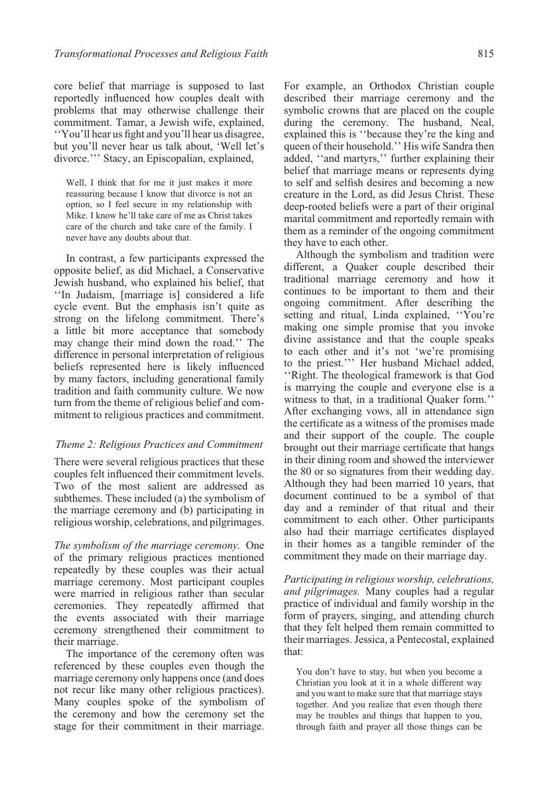core belief that marriage is supposed to last reportedly influenced how couples dealt with problems that may otherwise challenge their commitment. Tamar, a Jewish wife, explained, ''You'll hear us fight and you'll hear us disagree, but you'll never hear us talk about, 'Well let's divorce.''' Stacy, an Episcopalian, explained,

Well, I think that for me it just makes it more reassuring because I know that divorce is not an option, so I feel secure in my relationship with Mike. I know he'll take care of me as Christ takes care of the church and take care of the family. I never have any doubts about that.

In contrast, a few participants expressed the opposite belief, as did Michael, a Conservative Jewish husband, who explained his belief, that ''In Judaism, [marriage is] considered a life cycle event. But the emphasis isn't quite as strong on the lifelong commitment. There's a little bit more acceptance that somebody may change their mind down the road.'' The difference in personal interpretation of religious beliefs represented here is likely influenced by many factors, including generational family tradition and faith community culture. We now turn from the theme of religious belief and commitment to religious practices and commitment.

## *Theme 2: Religious Practices and Commitment*

There were several religious practices that these couples felt influenced their commitment levels. Two of the most salient are addressed as subthemes. These included (a) the symbolism of the marriage ceremony and (b) participating in religious worship, celebrations, and pilgrimages.

*The symbolism of the marriage ceremony.* One of the primary religious practices mentioned repeatedly by these couples was their actual marriage ceremony. Most participant couples were married in religious rather than secular ceremonies. They repeatedly affirmed that the events associated with their marriage ceremony strengthened their commitment to their marriage.

The importance of the ceremony often was referenced by these couples even though the marriage ceremony only happens once (and does not recur like many other religious practices). Many couples spoke of the symbolism of the ceremony and how the ceremony set the stage for their commitment in their marriage.

For example, an Orthodox Christian couple described their marriage ceremony and the symbolic crowns that are placed on the couple during the ceremony. The husband, Neal, explained this is ''because they're the king and queen of their household.'' His wife Sandra then added, ''and martyrs,'' further explaining their belief that marriage means or represents dying to self and selfish desires and becoming a new creature in the Lord, as did Jesus Christ. These deep-rooted beliefs were a part of their original marital commitment and reportedly remain with them as a reminder of the ongoing commitment they have to each other.

Although the symbolism and tradition were different, a Quaker couple described their traditional marriage ceremony and how it continues to be important to them and their ongoing commitment. After describing the setting and ritual, Linda explained, ''You're making one simple promise that you invoke divine assistance and that the couple speaks to each other and it's not 'we're promising to the priest.''' Her husband Michael added, ''Right. The theological framework is that God is marrying the couple and everyone else is a witness to that, in a traditional Quaker form.'' After exchanging vows, all in attendance sign the certificate as a witness of the promises made and their support of the couple. The couple brought out their marriage certificate that hangs in their dining room and showed the interviewer the 80 or so signatures from their wedding day. Although they had been married 10 years, that document continued to be a symbol of that day and a reminder of that ritual and their commitment to each other. Other participants also had their marriage certificates displayed in their homes as a tangible reminder of the commitment they made on their marriage day.

*Participating in religious worship, celebrations, and pilgrimages.* Many couples had a regular practice of individual and family worship in the form of prayers, singing, and attending church that they felt helped them remain committed to their marriages. Jessica, a Pentecostal, explained that:

You don't have to stay, but when you become a Christian you look at it in a whole different way and you want to make sure that that marriage stays together. And you realize that even though there may be troubles and things that happen to you, through faith and prayer all those things can be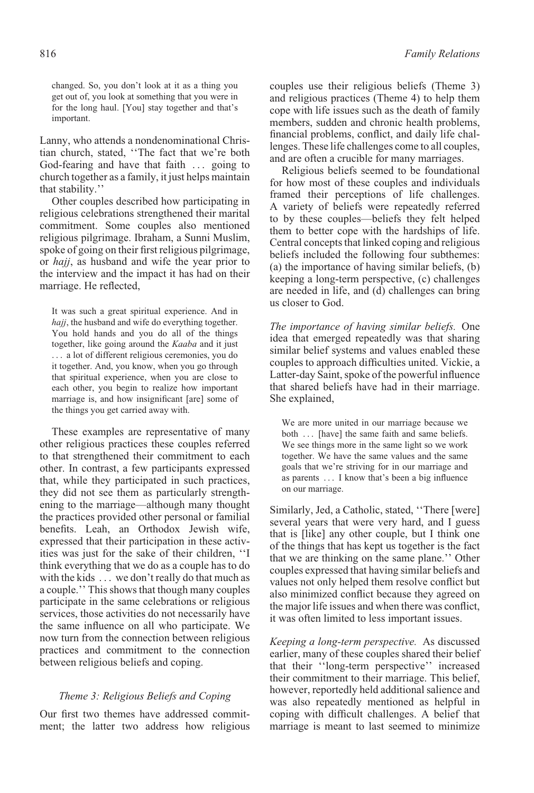changed. So, you don't look at it as a thing you get out of, you look at something that you were in for the long haul. [You] stay together and that's important.

Lanny, who attends a nondenominational Christian church, stated, ''The fact that we're both God-fearing and have that faith *...* going to church together as a family, it just helps maintain that stability.''

Other couples described how participating in religious celebrations strengthened their marital commitment. Some couples also mentioned religious pilgrimage. Ibraham, a Sunni Muslim, spoke of going on their first religious pilgrimage, or *hajj*, as husband and wife the year prior to the interview and the impact it has had on their marriage. He reflected,

It was such a great spiritual experience. And in *hajj*, the husband and wife do everything together. You hold hands and you do all of the things together, like going around the *Kaaba* and it just *...* a lot of different religious ceremonies, you do it together. And, you know, when you go through that spiritual experience, when you are close to each other, you begin to realize how important marriage is, and how insignificant [are] some of the things you get carried away with.

These examples are representative of many other religious practices these couples referred to that strengthened their commitment to each other. In contrast, a few participants expressed that, while they participated in such practices, they did not see them as particularly strengthening to the marriage—although many thought the practices provided other personal or familial benefits. Leah, an Orthodox Jewish wife, expressed that their participation in these activities was just for the sake of their children, ''I think everything that we do as a couple has to do with the kids *...* we don't really do that much as a couple.'' This shows that though many couples participate in the same celebrations or religious services, those activities do not necessarily have the same influence on all who participate. We now turn from the connection between religious practices and commitment to the connection between religious beliefs and coping.

# *Theme 3: Religious Beliefs and Coping*

Our first two themes have addressed commitment; the latter two address how religious couples use their religious beliefs (Theme 3) and religious practices (Theme 4) to help them cope with life issues such as the death of family members, sudden and chronic health problems, financial problems, conflict, and daily life challenges. These life challenges come to all couples, and are often a crucible for many marriages.

Religious beliefs seemed to be foundational for how most of these couples and individuals framed their perceptions of life challenges. A variety of beliefs were repeatedly referred to by these couples—beliefs they felt helped them to better cope with the hardships of life. Central concepts that linked coping and religious beliefs included the following four subthemes: (a) the importance of having similar beliefs, (b) keeping a long-term perspective, (c) challenges are needed in life, and (d) challenges can bring us closer to God.

*The importance of having similar beliefs.* One idea that emerged repeatedly was that sharing similar belief systems and values enabled these couples to approach difficulties united. Vickie, a Latter-day Saint, spoke of the powerful influence that shared beliefs have had in their marriage. She explained,

We are more united in our marriage because we both *...* [have] the same faith and same beliefs. We see things more in the same light so we work together. We have the same values and the same goals that we're striving for in our marriage and as parents *...* I know that's been a big influence on our marriage.

Similarly, Jed, a Catholic, stated, ''There [were] several years that were very hard, and I guess that is [like] any other couple, but I think one of the things that has kept us together is the fact that we are thinking on the same plane.'' Other couples expressed that having similar beliefs and values not only helped them resolve conflict but also minimized conflict because they agreed on the major life issues and when there was conflict, it was often limited to less important issues.

*Keeping a long-term perspective.* As discussed earlier, many of these couples shared their belief that their ''long-term perspective'' increased their commitment to their marriage. This belief, however, reportedly held additional salience and was also repeatedly mentioned as helpful in coping with difficult challenges. A belief that marriage is meant to last seemed to minimize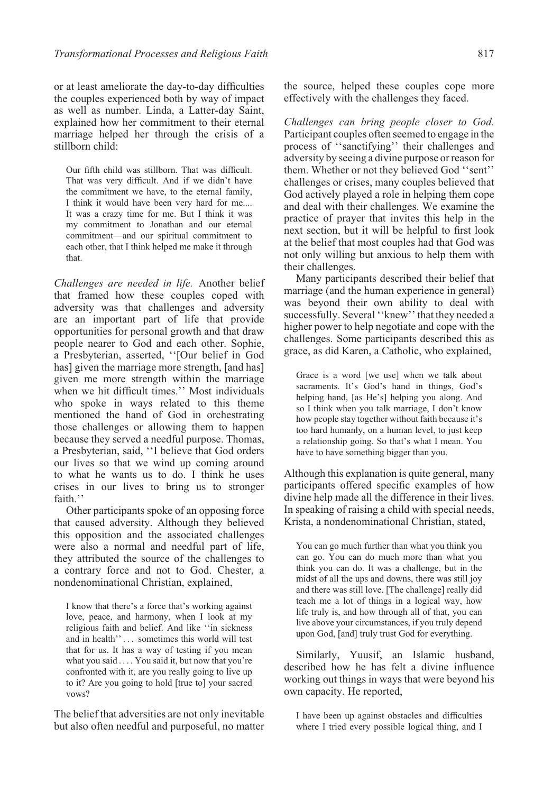or at least ameliorate the day-to-day difficulties the couples experienced both by way of impact as well as number. Linda, a Latter-day Saint, explained how her commitment to their eternal marriage helped her through the crisis of a stillborn child:

Our fifth child was stillborn. That was difficult. That was very difficult. And if we didn't have the commitment we have, to the eternal family, I think it would have been very hard for me.... It was a crazy time for me. But I think it was my commitment to Jonathan and our eternal commitment—and our spiritual commitment to each other, that I think helped me make it through that.

*Challenges are needed in life.* Another belief that framed how these couples coped with adversity was that challenges and adversity are an important part of life that provide opportunities for personal growth and that draw people nearer to God and each other. Sophie, a Presbyterian, asserted, ''[Our belief in God has] given the marriage more strength, [and has] given me more strength within the marriage when we hit difficult times.'' Most individuals who spoke in ways related to this theme mentioned the hand of God in orchestrating those challenges or allowing them to happen because they served a needful purpose. Thomas, a Presbyterian, said, ''I believe that God orders our lives so that we wind up coming around to what he wants us to do. I think he uses crises in our lives to bring us to stronger faith.''

Other participants spoke of an opposing force that caused adversity. Although they believed this opposition and the associated challenges were also a normal and needful part of life, they attributed the source of the challenges to a contrary force and not to God. Chester, a nondenominational Christian, explained,

I know that there's a force that's working against love, peace, and harmony, when I look at my religious faith and belief. And like ''in sickness and in health'' *...* sometimes this world will test that for us. It has a way of testing if you mean what you said . . . . You said it, but now that you're confronted with it, are you really going to live up to it? Are you going to hold [true to] your sacred vows?

The belief that adversities are not only inevitable but also often needful and purposeful, no matter

the source, helped these couples cope more effectively with the challenges they faced.

*Challenges can bring people closer to God.* Participant couples often seemed to engage in the process of ''sanctifying'' their challenges and adversity by seeing a divine purpose or reason for them. Whether or not they believed God ''sent'' challenges or crises, many couples believed that God actively played a role in helping them cope and deal with their challenges. We examine the practice of prayer that invites this help in the next section, but it will be helpful to first look at the belief that most couples had that God was not only willing but anxious to help them with their challenges.

Many participants described their belief that marriage (and the human experience in general) was beyond their own ability to deal with successfully. Several ''knew'' that they needed a higher power to help negotiate and cope with the challenges. Some participants described this as grace, as did Karen, a Catholic, who explained,

Grace is a word [we use] when we talk about sacraments. It's God's hand in things, God's helping hand, [as He's] helping you along. And so I think when you talk marriage, I don't know how people stay together without faith because it's too hard humanly, on a human level, to just keep a relationship going. So that's what I mean. You have to have something bigger than you.

Although this explanation is quite general, many participants offered specific examples of how divine help made all the difference in their lives. In speaking of raising a child with special needs, Krista, a nondenominational Christian, stated,

You can go much further than what you think you can go. You can do much more than what you think you can do. It was a challenge, but in the midst of all the ups and downs, there was still joy and there was still love. [The challenge] really did teach me a lot of things in a logical way, how life truly is, and how through all of that, you can live above your circumstances, if you truly depend upon God, [and] truly trust God for everything.

Similarly, Yuusif, an Islamic husband, described how he has felt a divine influence working out things in ways that were beyond his own capacity. He reported,

I have been up against obstacles and difficulties where I tried every possible logical thing, and I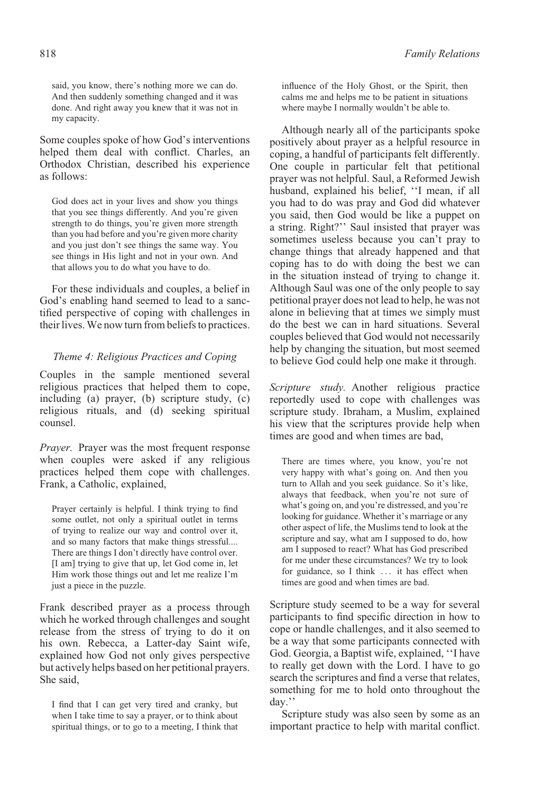said, you know, there's nothing more we can do. And then suddenly something changed and it was done. And right away you knew that it was not in my capacity.

Some couples spoke of how God's interventions helped them deal with conflict. Charles, an Orthodox Christian, described his experience as follows:

God does act in your lives and show you things that you see things differently. And you're given strength to do things, you're given more strength than you had before and you're given more charity and you just don't see things the same way. You see things in His light and not in your own. And that allows you to do what you have to do.

For these individuals and couples, a belief in God's enabling hand seemed to lead to a sanctified perspective of coping with challenges in their lives. We now turn from beliefs to practices.

# *Theme 4: Religious Practices and Coping*

Couples in the sample mentioned several religious practices that helped them to cope, including (a) prayer, (b) scripture study, (c) religious rituals, and (d) seeking spiritual counsel.

*Prayer.* Prayer was the most frequent response when couples were asked if any religious practices helped them cope with challenges. Frank, a Catholic, explained,

Prayer certainly is helpful. I think trying to find some outlet, not only a spiritual outlet in terms of trying to realize our way and control over it, and so many factors that make things stressful.... There are things I don't directly have control over. [I am] trying to give that up, let God come in, let Him work those things out and let me realize I'm just a piece in the puzzle.

Frank described prayer as a process through which he worked through challenges and sought release from the stress of trying to do it on his own. Rebecca, a Latter-day Saint wife, explained how God not only gives perspective but actively helps based on her petitional prayers. She said,

I find that I can get very tired and cranky, but when I take time to say a prayer, or to think about spiritual things, or to go to a meeting, I think that influence of the Holy Ghost, or the Spirit, then calms me and helps me to be patient in situations where maybe I normally wouldn't be able to.

Although nearly all of the participants spoke positively about prayer as a helpful resource in coping, a handful of participants felt differently. One couple in particular felt that petitional prayer was not helpful. Saul, a Reformed Jewish husband, explained his belief, ''I mean, if all you had to do was pray and God did whatever you said, then God would be like a puppet on a string. Right?'' Saul insisted that prayer was sometimes useless because you can't pray to change things that already happened and that coping has to do with doing the best we can in the situation instead of trying to change it. Although Saul was one of the only people to say petitional prayer does not lead to help, he was not alone in believing that at times we simply must do the best we can in hard situations. Several couples believed that God would not necessarily help by changing the situation, but most seemed to believe God could help one make it through.

*Scripture study.* Another religious practice reportedly used to cope with challenges was scripture study. Ibraham, a Muslim, explained his view that the scriptures provide help when times are good and when times are bad,

There are times where, you know, you're not very happy with what's going on. And then you turn to Allah and you seek guidance. So it's like, always that feedback, when you're not sure of what's going on, and you're distressed, and you're looking for guidance. Whether it's marriage or any other aspect of life, the Muslims tend to look at the scripture and say, what am I supposed to do, how am I supposed to react? What has God prescribed for me under these circumstances? We try to look for guidance, so I think *...* it has effect when times are good and when times are bad.

Scripture study seemed to be a way for several participants to find specific direction in how to cope or handle challenges, and it also seemed to be a way that some participants connected with God. Georgia, a Baptist wife, explained, ''I have to really get down with the Lord. I have to go search the scriptures and find a verse that relates, something for me to hold onto throughout the day.''

Scripture study was also seen by some as an important practice to help with marital conflict.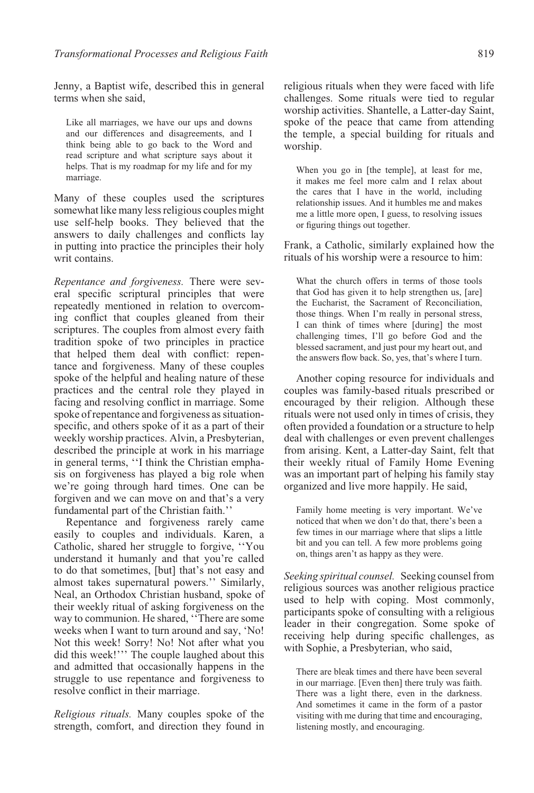Jenny, a Baptist wife, described this in general terms when she said,

Like all marriages, we have our ups and downs and our differences and disagreements, and I think being able to go back to the Word and read scripture and what scripture says about it helps. That is my roadmap for my life and for my marriage.

Many of these couples used the scriptures somewhat like many less religious couples might use self-help books. They believed that the answers to daily challenges and conflicts lay in putting into practice the principles their holy writ contains.

*Repentance and forgiveness.* There were several specific scriptural principles that were repeatedly mentioned in relation to overcoming conflict that couples gleaned from their scriptures. The couples from almost every faith tradition spoke of two principles in practice that helped them deal with conflict: repentance and forgiveness. Many of these couples spoke of the helpful and healing nature of these practices and the central role they played in facing and resolving conflict in marriage. Some spoke of repentance and forgiveness as situationspecific, and others spoke of it as a part of their weekly worship practices. Alvin, a Presbyterian, described the principle at work in his marriage in general terms, ''I think the Christian emphasis on forgiveness has played a big role when we're going through hard times. One can be forgiven and we can move on and that's a very fundamental part of the Christian faith.''

Repentance and forgiveness rarely came easily to couples and individuals. Karen, a Catholic, shared her struggle to forgive, ''You understand it humanly and that you're called to do that sometimes, [but] that's not easy and almost takes supernatural powers.'' Similarly, Neal, an Orthodox Christian husband, spoke of their weekly ritual of asking forgiveness on the way to communion. He shared, ''There are some weeks when I want to turn around and say, 'No! Not this week! Sorry! No! Not after what you did this week!''' The couple laughed about this and admitted that occasionally happens in the struggle to use repentance and forgiveness to resolve conflict in their marriage.

*Religious rituals.* Many couples spoke of the strength, comfort, and direction they found in

religious rituals when they were faced with life challenges. Some rituals were tied to regular worship activities. Shantelle, a Latter-day Saint, spoke of the peace that came from attending the temple, a special building for rituals and worship.

When you go in [the temple], at least for me, it makes me feel more calm and I relax about the cares that I have in the world, including relationship issues. And it humbles me and makes me a little more open, I guess, to resolving issues or figuring things out together.

Frank, a Catholic, similarly explained how the rituals of his worship were a resource to him:

What the church offers in terms of those tools that God has given it to help strengthen us, [are] the Eucharist, the Sacrament of Reconciliation, those things. When I'm really in personal stress, I can think of times where [during] the most challenging times, I'll go before God and the blessed sacrament, and just pour my heart out, and the answers flow back. So, yes, that's where I turn.

Another coping resource for individuals and couples was family-based rituals prescribed or encouraged by their religion. Although these rituals were not used only in times of crisis, they often provided a foundation or a structure to help deal with challenges or even prevent challenges from arising. Kent, a Latter-day Saint, felt that their weekly ritual of Family Home Evening was an important part of helping his family stay organized and live more happily. He said,

Family home meeting is very important. We've noticed that when we don't do that, there's been a few times in our marriage where that slips a little bit and you can tell. A few more problems going on, things aren't as happy as they were.

*Seeking spiritual counsel.* Seeking counsel from religious sources was another religious practice used to help with coping. Most commonly, participants spoke of consulting with a religious leader in their congregation. Some spoke of receiving help during specific challenges, as with Sophie, a Presbyterian, who said,

There are bleak times and there have been several in our marriage. [Even then] there truly was faith. There was a light there, even in the darkness. And sometimes it came in the form of a pastor visiting with me during that time and encouraging, listening mostly, and encouraging.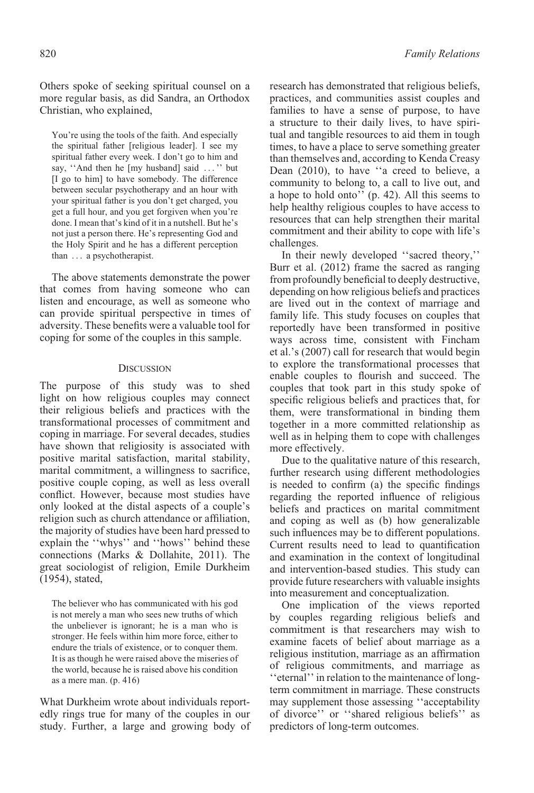Others spoke of seeking spiritual counsel on a more regular basis, as did Sandra, an Orthodox Christian, who explained,

You're using the tools of the faith. And especially the spiritual father [religious leader]. I see my spiritual father every week. I don't go to him and say, ''And then he [my husband] said *...*'' but [I go to him] to have somebody. The difference between secular psychotherapy and an hour with your spiritual father is you don't get charged, you get a full hour, and you get forgiven when you're done. I mean that's kind of it in a nutshell. But he's not just a person there. He's representing God and the Holy Spirit and he has a different perception than *...* a psychotherapist.

The above statements demonstrate the power that comes from having someone who can listen and encourage, as well as someone who can provide spiritual perspective in times of adversity. These benefits were a valuable tool for coping for some of the couples in this sample.

## **DISCUSSION**

The purpose of this study was to shed light on how religious couples may connect their religious beliefs and practices with the transformational processes of commitment and coping in marriage. For several decades, studies have shown that religiosity is associated with positive marital satisfaction, marital stability, marital commitment, a willingness to sacrifice, positive couple coping, as well as less overall conflict. However, because most studies have only looked at the distal aspects of a couple's religion such as church attendance or affiliation, the majority of studies have been hard pressed to explain the ''whys'' and ''hows'' behind these connections (Marks & Dollahite, 2011). The great sociologist of religion, Emile Durkheim (1954), stated,

The believer who has communicated with his god is not merely a man who sees new truths of which the unbeliever is ignorant; he is a man who is stronger. He feels within him more force, either to endure the trials of existence, or to conquer them. It is as though he were raised above the miseries of the world, because he is raised above his condition as a mere man. (p. 416)

What Durkheim wrote about individuals reportedly rings true for many of the couples in our study. Further, a large and growing body of research has demonstrated that religious beliefs, practices, and communities assist couples and families to have a sense of purpose, to have a structure to their daily lives, to have spiritual and tangible resources to aid them in tough times, to have a place to serve something greater than themselves and, according to Kenda Creasy Dean (2010), to have ''a creed to believe, a community to belong to, a call to live out, and a hope to hold onto'' (p. 42). All this seems to help healthy religious couples to have access to resources that can help strengthen their marital commitment and their ability to cope with life's challenges.

In their newly developed ''sacred theory,'' Burr et al. (2012) frame the sacred as ranging from profoundly beneficial to deeply destructive, depending on how religious beliefs and practices are lived out in the context of marriage and family life. This study focuses on couples that reportedly have been transformed in positive ways across time, consistent with Fincham et al.'s (2007) call for research that would begin to explore the transformational processes that enable couples to flourish and succeed. The couples that took part in this study spoke of specific religious beliefs and practices that, for them, were transformational in binding them together in a more committed relationship as well as in helping them to cope with challenges more effectively.

Due to the qualitative nature of this research, further research using different methodologies is needed to confirm (a) the specific findings regarding the reported influence of religious beliefs and practices on marital commitment and coping as well as (b) how generalizable such influences may be to different populations. Current results need to lead to quantification and examination in the context of longitudinal and intervention-based studies. This study can provide future researchers with valuable insights into measurement and conceptualization.

One implication of the views reported by couples regarding religious beliefs and commitment is that researchers may wish to examine facets of belief about marriage as a religious institution, marriage as an affirmation of religious commitments, and marriage as ''eternal'' in relation to the maintenance of longterm commitment in marriage. These constructs may supplement those assessing ''acceptability of divorce'' or ''shared religious beliefs'' as predictors of long-term outcomes.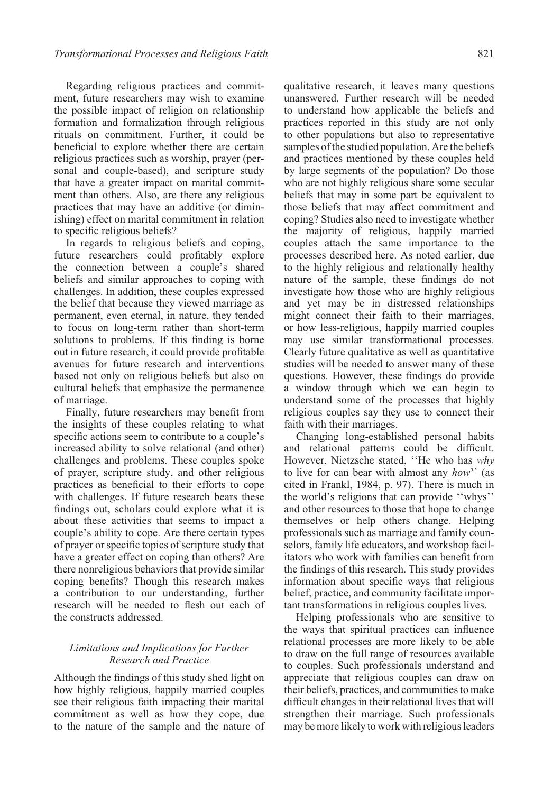Regarding religious practices and commitment, future researchers may wish to examine the possible impact of religion on relationship formation and formalization through religious rituals on commitment. Further, it could be beneficial to explore whether there are certain religious practices such as worship, prayer (personal and couple-based), and scripture study that have a greater impact on marital commitment than others. Also, are there any religious practices that may have an additive (or diminishing) effect on marital commitment in relation to specific religious beliefs?

In regards to religious beliefs and coping, future researchers could profitably explore the connection between a couple's shared beliefs and similar approaches to coping with challenges. In addition, these couples expressed the belief that because they viewed marriage as permanent, even eternal, in nature, they tended to focus on long-term rather than short-term solutions to problems. If this finding is borne out in future research, it could provide profitable avenues for future research and interventions based not only on religious beliefs but also on cultural beliefs that emphasize the permanence of marriage.

Finally, future researchers may benefit from the insights of these couples relating to what specific actions seem to contribute to a couple's increased ability to solve relational (and other) challenges and problems. These couples spoke of prayer, scripture study, and other religious practices as beneficial to their efforts to cope with challenges. If future research bears these findings out, scholars could explore what it is about these activities that seems to impact a couple's ability to cope. Are there certain types of prayer or specific topics of scripture study that have a greater effect on coping than others? Are there nonreligious behaviors that provide similar coping benefits? Though this research makes a contribution to our understanding, further research will be needed to flesh out each of the constructs addressed.

# *Limitations and Implications for Further Research and Practice*

Although the findings of this study shed light on how highly religious, happily married couples see their religious faith impacting their marital commitment as well as how they cope, due to the nature of the sample and the nature of qualitative research, it leaves many questions unanswered. Further research will be needed to understand how applicable the beliefs and practices reported in this study are not only to other populations but also to representative samples of the studied population. Are the beliefs and practices mentioned by these couples held by large segments of the population? Do those who are not highly religious share some secular beliefs that may in some part be equivalent to those beliefs that may affect commitment and coping? Studies also need to investigate whether the majority of religious, happily married couples attach the same importance to the processes described here. As noted earlier, due to the highly religious and relationally healthy nature of the sample, these findings do not investigate how those who are highly religious and yet may be in distressed relationships might connect their faith to their marriages, or how less-religious, happily married couples may use similar transformational processes. Clearly future qualitative as well as quantitative studies will be needed to answer many of these questions. However, these findings do provide a window through which we can begin to understand some of the processes that highly religious couples say they use to connect their faith with their marriages.

Changing long-established personal habits and relational patterns could be difficult. However, Nietzsche stated, ''He who has *why* to live for can bear with almost any *how*'' (as cited in Frankl, 1984, p. 97). There is much in the world's religions that can provide ''whys'' and other resources to those that hope to change themselves or help others change. Helping professionals such as marriage and family counselors, family life educators, and workshop facilitators who work with families can benefit from the findings of this research. This study provides information about specific ways that religious belief, practice, and community facilitate important transformations in religious couples lives.

Helping professionals who are sensitive to the ways that spiritual practices can influence relational processes are more likely to be able to draw on the full range of resources available to couples. Such professionals understand and appreciate that religious couples can draw on their beliefs, practices, and communities to make difficult changes in their relational lives that will strengthen their marriage. Such professionals may be more likely to work with religious leaders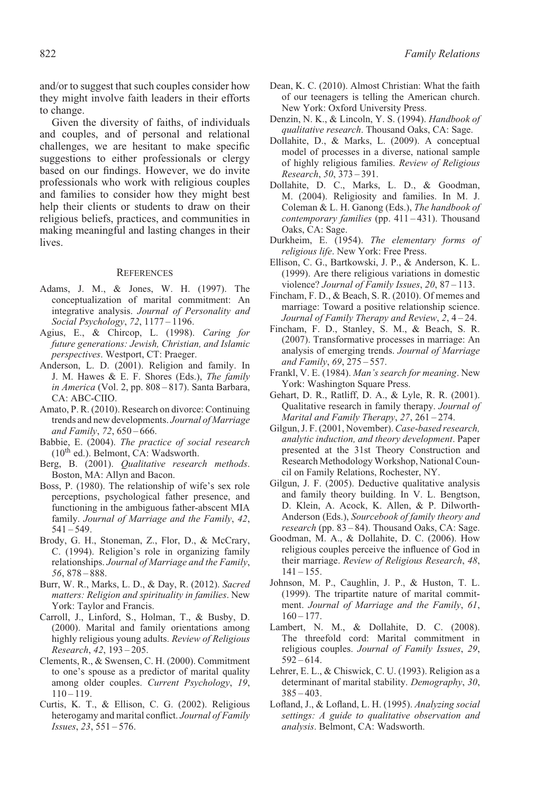and/or to suggest that such couples consider how they might involve faith leaders in their efforts to change.

Given the diversity of faiths, of individuals and couples, and of personal and relational challenges, we are hesitant to make specific suggestions to either professionals or clergy based on our findings. However, we do invite professionals who work with religious couples and families to consider how they might best help their clients or students to draw on their religious beliefs, practices, and communities in making meaningful and lasting changes in their lives.

#### **REFERENCES**

- Adams, J. M., & Jones, W. H. (1997). The conceptualization of marital commitment: An integrative analysis. *Journal of Personality and Social Psychology*, *72*, 1177 – 1196.
- Agius, E., & Chircop, L. (1998). *Caring for future generations: Jewish, Christian, and Islamic perspectives*. Westport, CT: Praeger.
- Anderson, L. D. (2001). Religion and family. In J. M. Hawes & E. F. Shores (Eds.), *The family in America* (Vol. 2, pp. 808 – 817). Santa Barbara, CA: ABC-CIIO.
- Amato, P. R. (2010). Research on divorce: Continuing trends and new developments. *Journal of Marriage and Family*, *72*, 650 – 666.
- Babbie, E. (2004). *The practice of social research*  $(10<sup>th</sup>$  ed.). Belmont, CA: Wadsworth.
- Berg, B. (2001). *Qualitative research methods*. Boston, MA: Allyn and Bacon.
- Boss, P. (1980). The relationship of wife's sex role perceptions, psychological father presence, and functioning in the ambiguous father-abscent MIA family. *Journal of Marriage and the Family*, *42*, 541 – 549.
- Brody, G. H., Stoneman, Z., Flor, D., & McCrary, C. (1994). Religion's role in organizing family relationships. *Journal of Marriage and the Family*, *56*, 878 – 888.
- Burr, W. R., Marks, L. D., & Day, R. (2012). *Sacred matters: Religion and spirituality in families*. New York: Taylor and Francis.
- Carroll, J., Linford, S., Holman, T., & Busby, D. (2000). Marital and family orientations among highly religious young adults. *Review of Religious Research*, *42*, 193 – 205.
- Clements, R., & Swensen, C. H. (2000). Commitment to one's spouse as a predictor of marital quality among older couples. *Current Psychology*, *19*,  $110 - 119.$
- Curtis, K. T., & Ellison, C. G. (2002). Religious heterogamy and marital conflict. *Journal of Family Issues*, *23*, 551 – 576.
- Dean, K. C. (2010). Almost Christian: What the faith of our teenagers is telling the American church. New York: Oxford University Press.
- Denzin, N. K., & Lincoln, Y. S. (1994). *Handbook of qualitative research*. Thousand Oaks, CA: Sage.
- Dollahite, D., & Marks, L. (2009). A conceptual model of processes in a diverse, national sample of highly religious families. *Review of Religious Research*, *50*, 373 – 391.
- Dollahite, D. C., Marks, L. D., & Goodman, M. (2004). Religiosity and families. In M. J. Coleman & L. H. Ganong (Eds.), *The handbook of contemporary families* (pp. 411 – 431). Thousand Oaks, CA: Sage.
- Durkheim, E. (1954). *The elementary forms of religious life*. New York: Free Press.
- Ellison, C. G., Bartkowski, J. P., & Anderson, K. L. (1999). Are there religious variations in domestic violence? *Journal of Family Issues*, *20*, 87 – 113.
- Fincham, F. D., & Beach, S. R. (2010). Of memes and marriage: Toward a positive relationship science. *Journal of Family Therapy and Review*, *2*, 4 – 24.
- Fincham, F. D., Stanley, S. M., & Beach, S. R. (2007). Transformative processes in marriage: An analysis of emerging trends. *Journal of Marriage and Family*, *69*, 275 – 557.
- Frankl, V. E. (1984). *Man's search for meaning*. New York: Washington Square Press.
- Gehart, D. R., Ratliff, D. A., & Lyle, R. R. (2001). Qualitative research in family therapy. *Journal of Marital and Family Therapy*, *27*, 261 – 274.
- Gilgun, J. F. (2001, November). *Case-based research, analytic induction, and theory development*. Paper presented at the 31st Theory Construction and Research Methodology Workshop, National Council on Family Relations, Rochester, NY.
- Gilgun, J. F. (2005). Deductive qualitative analysis and family theory building. In V. L. Bengtson, D. Klein, A. Acock, K. Allen, & P. Dilworth-Anderson (Eds.), *Sourcebook of family theory and research* (pp. 83 – 84). Thousand Oaks, CA: Sage.
- Goodman, M. A., & Dollahite, D. C. (2006). How religious couples perceive the influence of God in their marriage. *Review of Religious Research*, *48*,  $141 - 155$ .
- Johnson, M. P., Caughlin, J. P., & Huston, T. L. (1999). The tripartite nature of marital commitment. *Journal of Marriage and the Family*, *61*,  $160 - 177$ .
- Lambert, N. M., & Dollahite, D. C. (2008). The threefold cord: Marital commitment in religious couples. *Journal of Family Issues*, *29*,  $592 - 614.$
- Lehrer, E. L., & Chiswick, C. U. (1993). Religion as a determinant of marital stability. *Demography*, *30*,  $385 - 403$ .
- Lofland, J., & Lofland, L. H. (1995). *Analyzing social settings: A guide to qualitative observation and analysis*. Belmont, CA: Wadsworth.